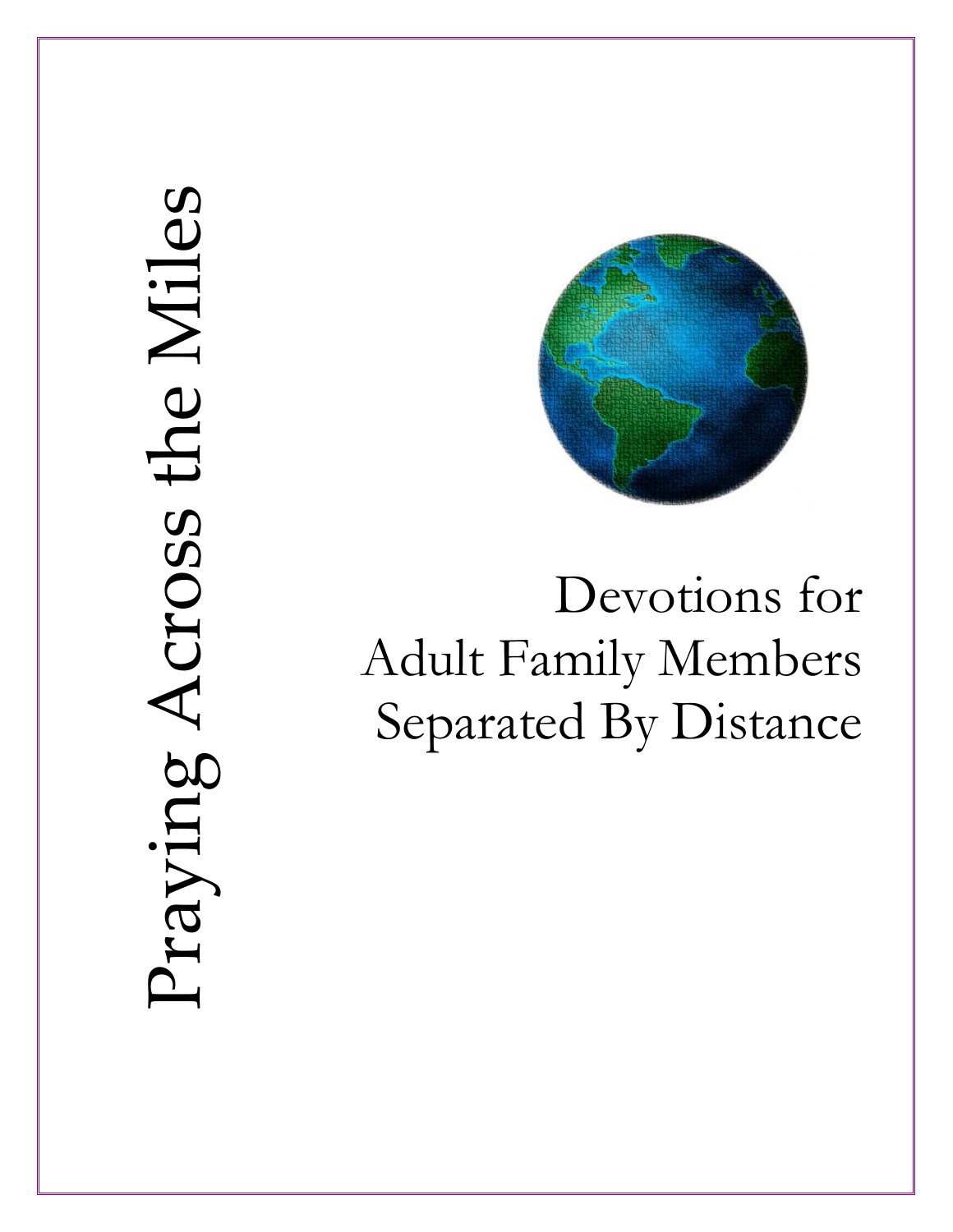# Praying Across the Miles Praying Across the Miles



Devotions for Adult Family Members Separated By Distance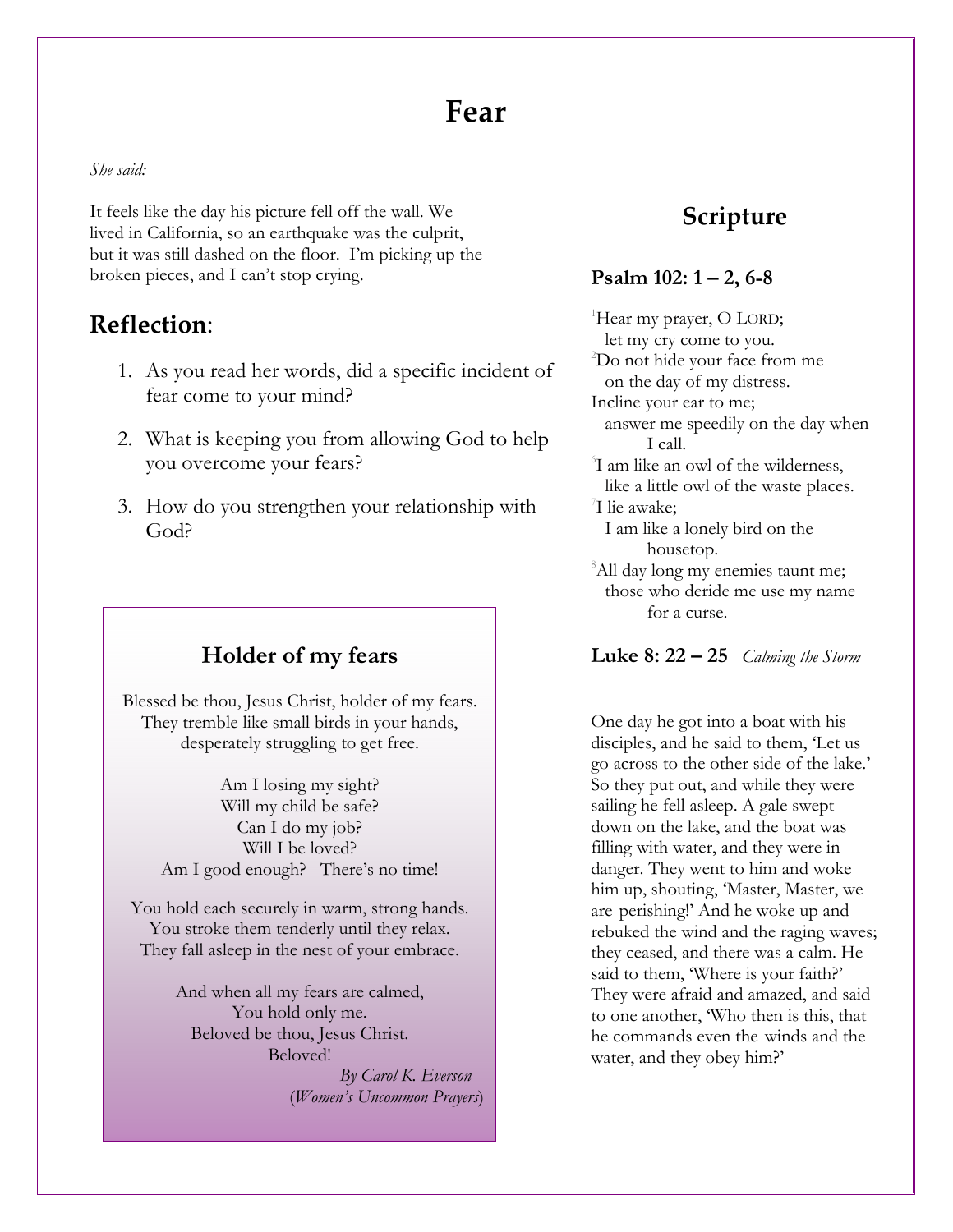# **Fear**

#### *She said:*

It feels like the day his picture fell off the wall. We lived in California, so an earthquake was the culprit, but it was still dashed on the floor. I'm picking up the broken pieces, and I can't stop crying.

#### **Reflection**:

- 1. As you read her words, did a specific incident of fear come to your mind?
- 2. What is keeping you from allowing God to help you overcome your fears?
- 3. How do you strengthen your relationship with God?

#### **Holder of my fears**

Blessed be thou, Jesus Christ, holder of my fears. They tremble like small birds in your hands, desperately struggling to get free.

> Am I losing my sight? Will my child be safe? Can I do my job? Will I be loved? Am I good enough? There's no time!

You hold each securely in warm, strong hands. You stroke them tenderly until they relax. They fall asleep in the nest of your embrace.

> And when all my fears are calmed, You hold only me. Beloved be thou, Jesus Christ. Beloved!

 *By Carol K. Everson*  (*Women's Uncommon Prayers*)

#### **Scripture**

#### **Psalm 102: 1 – 2, 6-8**

<sup>1</sup>Hear my prayer, O LORD; let my cry come to you. 2 Do not hide your face from me on the day of my distress. Incline your ear to me; answer me speedily on the day when I call. 6 I am like an owl of the wilderness, like a little owl of the waste places. 7 I lie awake; I am like a lonely bird on the housetop. <sup>8</sup>All day long my enemies taunt me; those who deride me use my name for a curse.

**Luke 8: 22 – 25** *Calming the Storm* 

One day he got into a boat with his disciples, and he said to them, 'Let us go across to the other side of the lake.' So they put out, and while they were sailing he fell asleep. A gale swept down on the lake, and the boat was filling with water, and they were in danger. They went to him and woke him up, shouting, 'Master, Master, we are perishing!' And he woke up and rebuked the wind and the raging waves; they ceased, and there was a calm. He said to them, 'Where is your faith?' They were afraid and amazed, and said to one another, 'Who then is this, that he commands even the winds and the water, and they obey him?'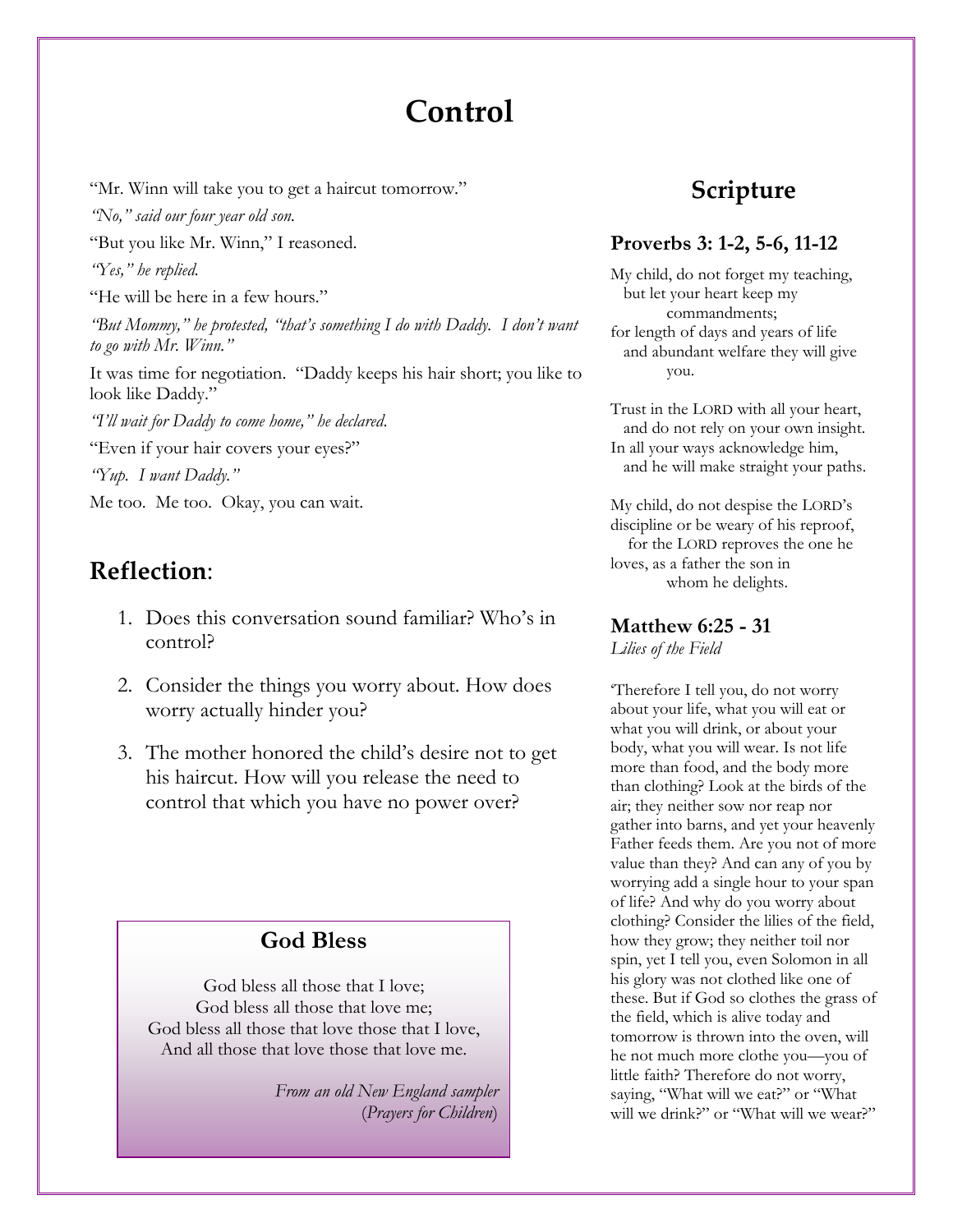# **Control**

"Mr. Winn will take you to get a haircut tomorrow."

*"No," said our four year old son.* 

"But you like Mr. Winn," I reasoned.

*"Yes," he replied.* 

"He will be here in a few hours."

*"But Mommy," he protested, "that's something I do with Daddy. I don't want to go with Mr. Winn."* 

It was time for negotiation. "Daddy keeps his hair short; you like to look like Daddy."

*"I'll wait for Daddy to come home," he declared*.

"Even if your hair covers your eyes?"

*"Yup. I want Daddy."* 

Me too. Me too. Okay, you can wait.

## **Reflection**:

- 1. Does this conversation sound familiar? Who's in control?
- 2. Consider the things you worry about. How does worry actually hinder you?
- 3. The mother honored the child's desire not to get his haircut. How will you release the need to control that which you have no power over?

#### **God Bless**

God bless all those that I love; God bless all those that love me; God bless all those that love those that I love, And all those that love those that love me.

> *From an old New England sampler*  (*Prayers for Children*)

## **Scripture**

#### **Proverbs 3: 1-2, 5-6, 11-12**

My child, do not forget my teaching, but let your heart keep my commandments; for length of days and years of life and abundant welfare they will give you.

Trust in the LORD with all your heart, and do not rely on your own insight. In all your ways acknowledge him, and he will make straight your paths.

My child, do not despise the LORD's discipline or be weary of his reproof, for the LORD reproves the one he loves, as a father the son in whom he delights.

## **Matthew 6:25 - 31**

*Lilies of the Field* 

'Therefore I tell you, do not worry about your life, what you will eat or what you will drink, or about your body, what you will wear. Is not life more than food, and the body more than clothing? Look at the birds of the air; they neither sow nor reap nor gather into barns, and yet your heavenly Father feeds them. Are you not of more value than they? And can any of you by worrying add a single hour to your span of life? And why do you worry about clothing? Consider the lilies of the field, how they grow; they neither toil nor spin, yet I tell you, even Solomon in all his glory was not clothed like one of these. But if God so clothes the grass of the field, which is alive today and tomorrow is thrown into the oven, will he not much more clothe you—you of little faith? Therefore do not worry, saying, "What will we eat?" or "What will we drink?" or "What will we wear?"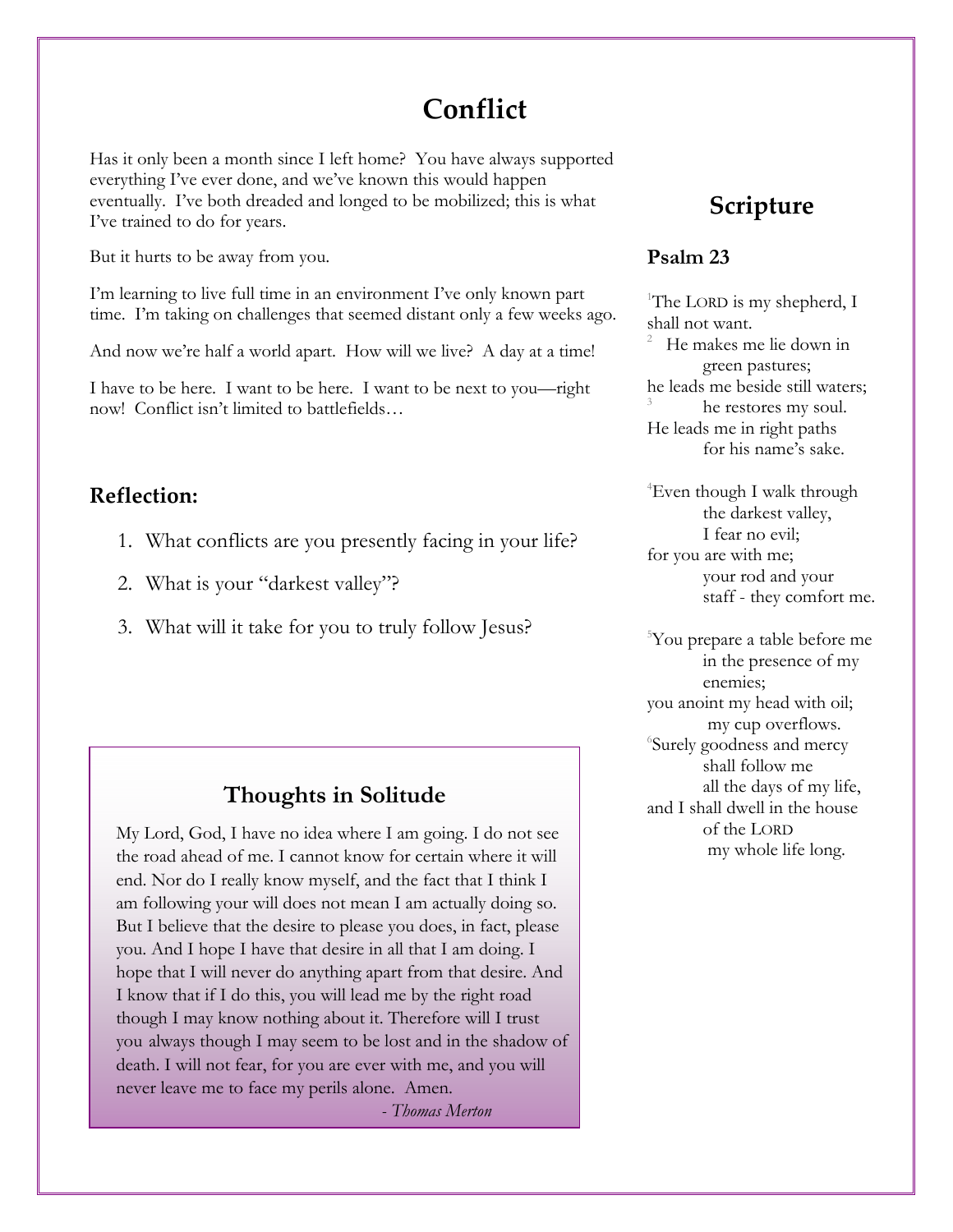# **Conflict**

Has it only been a month since I left home? You have always supported everything I've ever done, and we've known this would happen eventually. I've both dreaded and longed to be mobilized; this is what I've trained to do for years.

But it hurts to be away from you.

I'm learning to live full time in an environment I've only known part time. I'm taking on challenges that seemed distant only a few weeks ago.

And now we're half a world apart. How will we live? A day at a time!

I have to be here. I want to be here. I want to be next to you—right now! Conflict isn't limited to battlefields…

#### **Reflection:**

- 1. What conflicts are you presently facing in your life?
- 2. What is your "darkest valley"?
- 3. What will it take for you to truly follow Jesus?

#### **Thoughts in Solitude**

My Lord, God, I have no idea where I am going. I do not see the road ahead of me. I cannot know for certain where it will end. Nor do I really know myself, and the fact that I think I am following your will does not mean I am actually doing so. But I believe that the desire to please you does, in fact, please you. And I hope I have that desire in all that I am doing. I hope that I will never do anything apart from that desire. And I know that if I do this, you will lead me by the right road though I may know nothing about it. Therefore will I trust you always though I may seem to be lost and in the shadow of death. I will not fear, for you are ever with me, and you will never leave me to face my perils alone. Amen.

*- Thomas Merton*

## **Scripture**

#### **Psalm 23**

<sup>1</sup>The LORD is my shepherd, I shall not want.

2 He makes me lie down in green pastures; he leads me beside still waters; 3 he restores my soul. He leads me in right paths for his name's sake.

4 Even though I walk through the darkest valley, I fear no evil; for you are with me; your rod and your staff - they comfort me.

5 You prepare a table before me in the presence of my enemies; you anoint my head with oil; my cup overflows. 6 Surely goodness and mercy shall follow me all the days of my life, and I shall dwell in the house of the LORD my whole life long.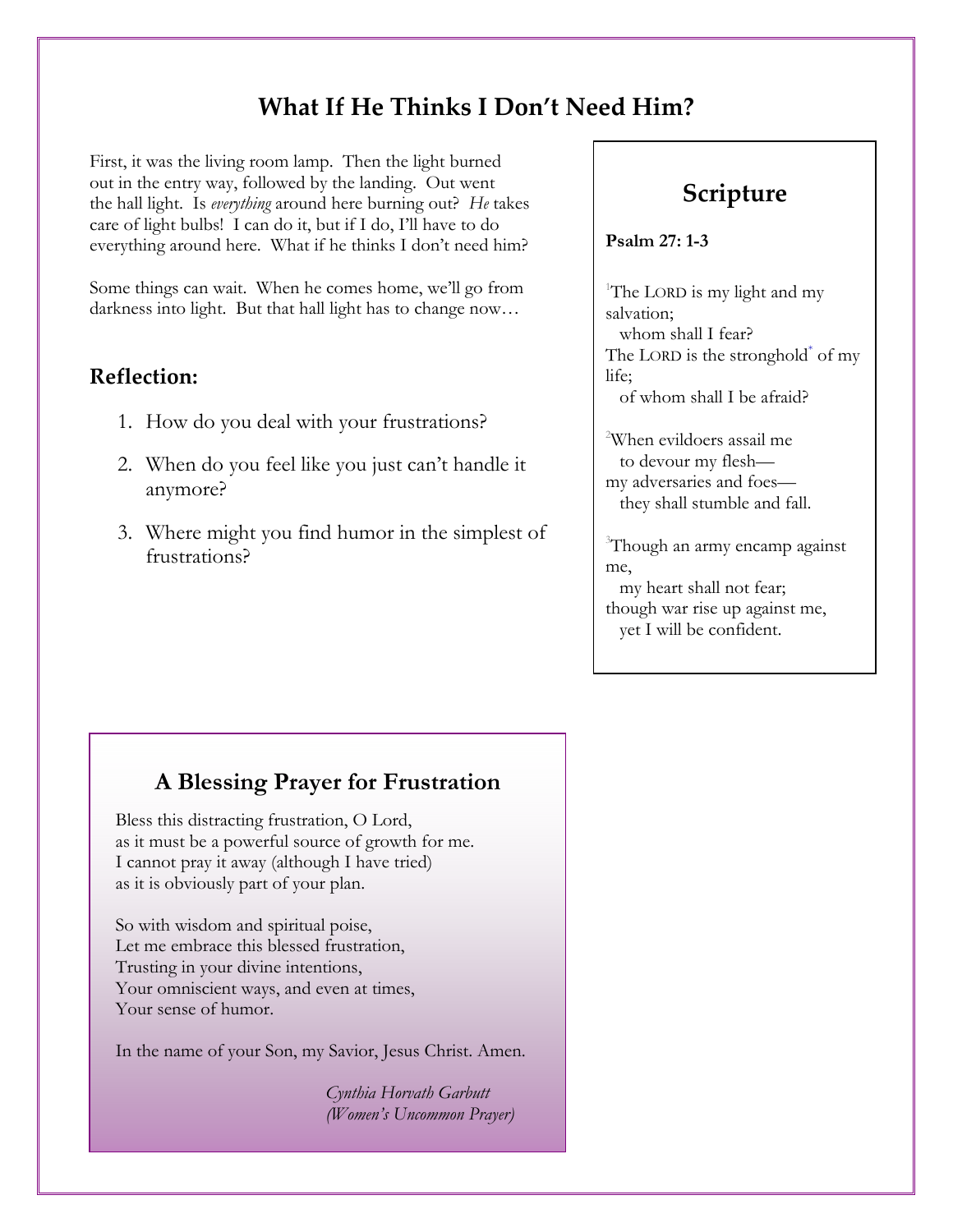## **What If He Thinks I Don't Need Him?**

First, it was the living room lamp. Then the light burned out in the entry way, followed by the landing. Out went the hall light. Is *everything* around here burning out? *He* takes care of light bulbs! I can do it, but if I do, I'll have to do everything around here. What if he thinks I don't need him?

Some things can wait. When he comes home, we'll go from darkness into light. But that hall light has to change now...

#### **Reflection:**

- 1. How do you deal with your frustrations?
- 2. When do you feel like you just can't handle it anymore?
- 3. Where might you find humor in the simplest of frustrations?

## **Scripture**

**Psalm 27: 1-3** 

<sup>1</sup>The LORD is my light and my salvation; whom shall I fear? The LORD is the stronghold<sup>\*</sup> of my life; of whom shall I be afraid?

2 When evildoers assail me to devour my flesh my adversaries and foes they shall stumble and fall.

3 Though an army encamp against me,

 my heart shall not fear; though war rise up against me, yet I will be confident.

#### **A Blessing Prayer for Frustration**

Bless this distracting frustration, O Lord, as it must be a powerful source of growth for me. I cannot pray it away (although I have tried) as it is obviously part of your plan.

So with wisdom and spiritual poise, Let me embrace this blessed frustration, Trusting in your divine intentions, Your omniscient ways, and even at times, Your sense of humor.

In the name of your Son, my Savior, Jesus Christ. Amen.

 *Cynthia Horvath Garbutt (Women's Uncommon Prayer)*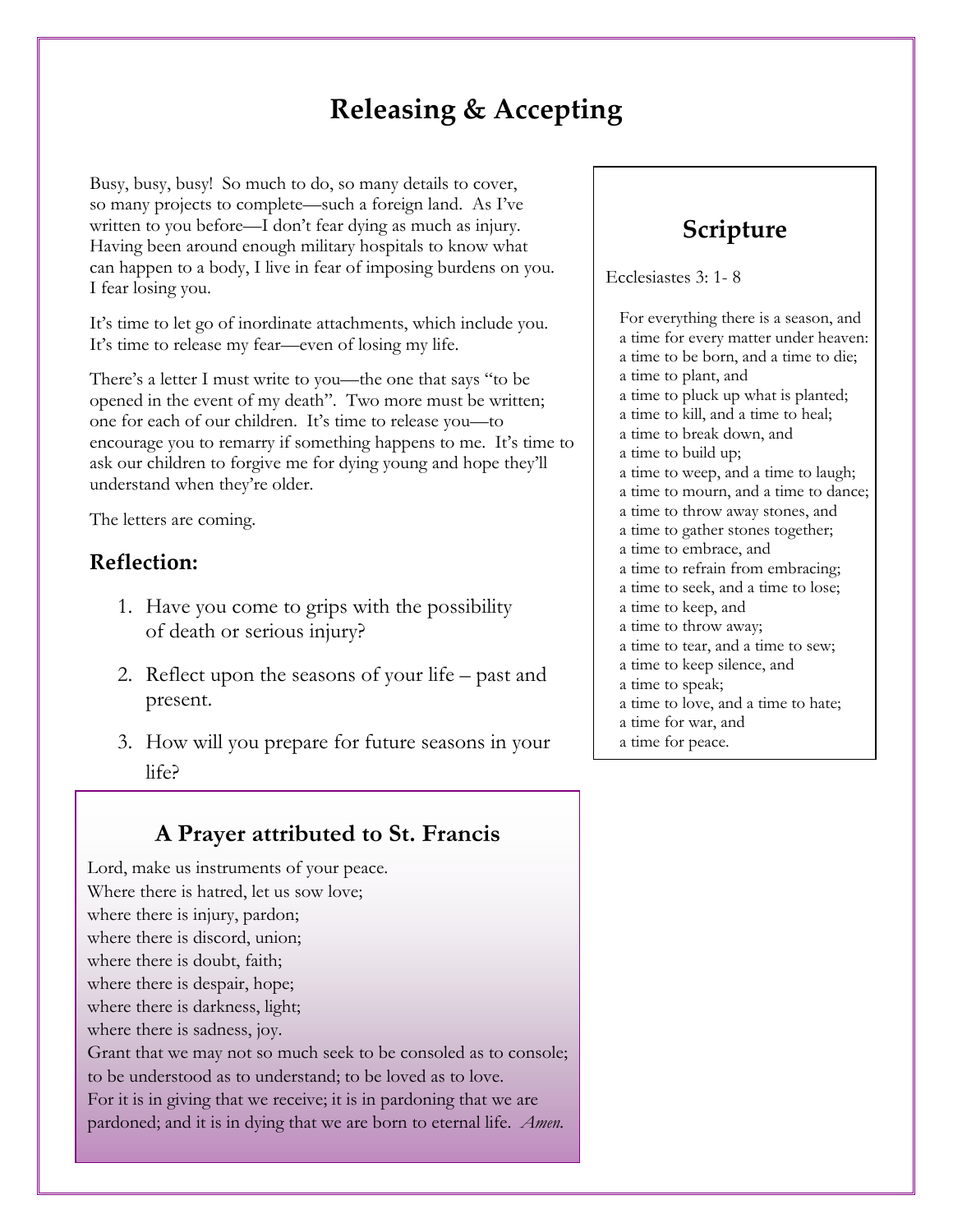# **Releasing & Accepting**

Busy, busy, busy! So much to do, so many details to cover, so many projects to complete—such a foreign land. As I've written to you before—I don't fear dying as much as injury. Having been around enough military hospitals to know what can happen to a body, I live in fear of imposing burdens on you. I fear losing you.

It's time to let go of inordinate attachments, which include you. It's time to release my fear—even of losing my life.

There's a letter I must write to you—the one that says "to be opened in the event of my death". Two more must be written; one for each of our children. It's time to release you—to encourage you to remarry if something happens to me. It's time to ask our children to forgive me for dying young and hope they'll understand when they're older.

The letters are coming.

#### **Reflection:**

- 1. Have you come to grips with the possibility of death or serious injury?
- 2. Reflect upon the seasons of your life past and present.
- 3. How will you prepare for future seasons in your life?

#### **A Prayer attributed to St. Francis**

Lord, make us instruments of your peace. Where there is hatred, let us sow love; where there is injury, pardon; where there is discord, union; where there is doubt, faith; where there is despair, hope; where there is darkness, light; where there is sadness, joy. Grant that we may not so much seek to be consoled as to console; to be understood as to understand; to be loved as to love. For it is in giving that we receive; it is in pardoning that we are pardoned; and it is in dying that we are born to eternal life. *Amen.*

## **Scripture**

Ecclesiastes 3: 1- 8

For everything there is a season, and a time for every matter under heaven: a time to be born, and a time to die; a time to plant, and a time to pluck up what is planted; a time to kill, and a time to heal; a time to break down, and a time to build up; a time to weep, and a time to laugh; a time to mourn, and a time to dance; a time to throw away stones, and a time to gather stones together; a time to embrace, and a time to refrain from embracing; a time to seek, and a time to lose; a time to keep, and a time to throw away; a time to tear, and a time to sew; a time to keep silence, and a time to speak; a time to love, and a time to hate; a time for war, and a time for peace.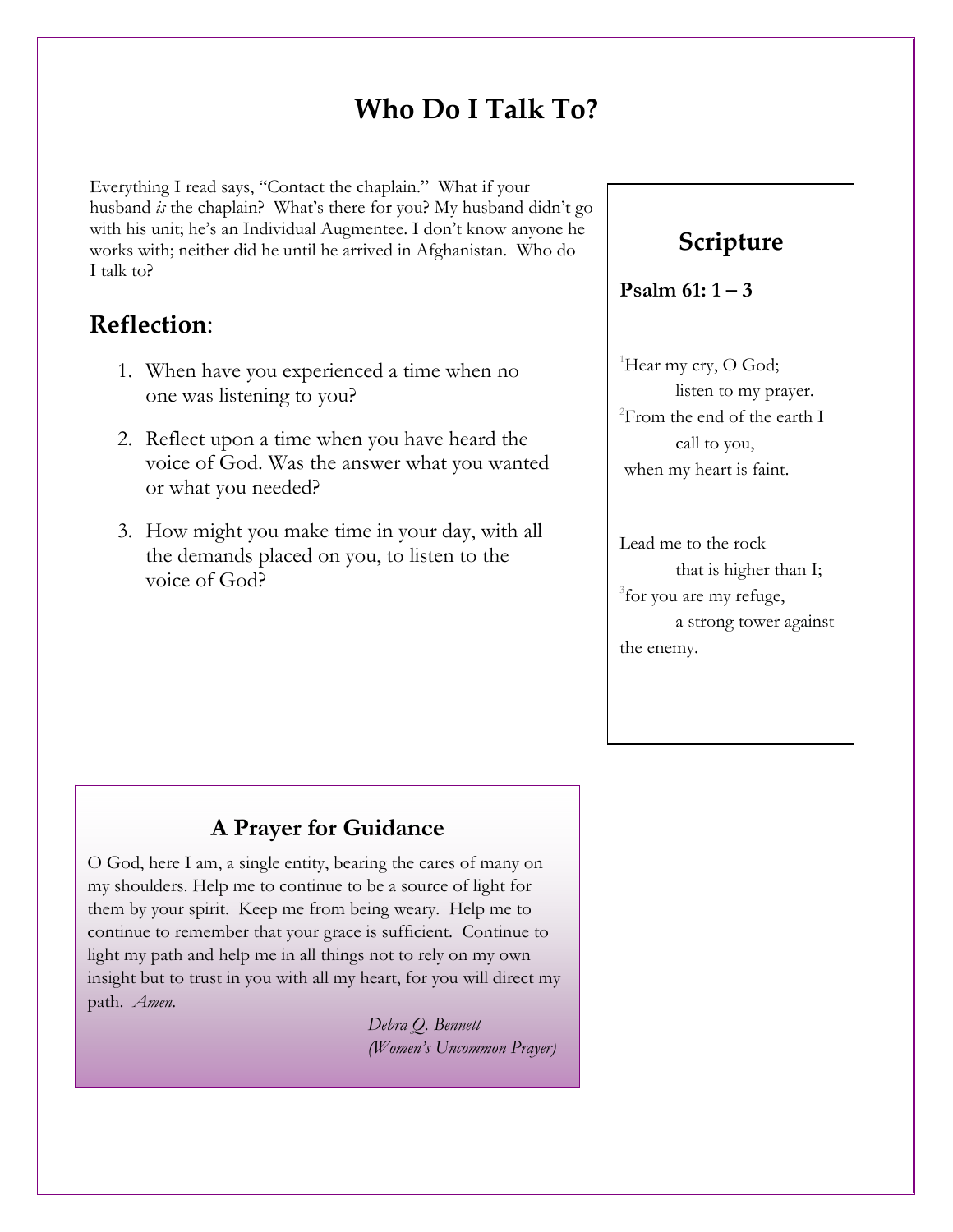# **Who Do I Talk To?**

Everything I read says, "Contact the chaplain." What if your husband *is* the chaplain? What's there for you? My husband didn't go with his unit; he's an Individual Augmentee. I don't know anyone he works with; neither did he until he arrived in Afghanistan. Who do I talk to?

## **Reflection**:

- 1. When have you experienced a time when no one was listening to you?
- 2. Reflect upon a time when you have heard the voice of God. Was the answer what you wanted or what you needed?
- 3. How might you make time in your day, with all the demands placed on you, to listen to the voice of God?

## **Scripture**

#### **Psalm 61: 1 – 3**

<sup>1</sup>Hear my cry, O God; listen to my prayer. 2 From the end of the earth I call to you, when my heart is faint.

Lead me to the rock that is higher than I; <sup>3</sup> for you are my refuge, a strong tower against the enemy.

#### **A Prayer for Guidance**

O God, here I am, a single entity, bearing the cares of many on my shoulders. Help me to continue to be a source of light for them by your spirit. Keep me from being weary. Help me to continue to remember that your grace is sufficient. Continue to light my path and help me in all things not to rely on my own insight but to trust in you with all my heart, for you will direct my path. *Amen.* 

> *Debra Q. Bennett (Women's Uncommon Prayer)*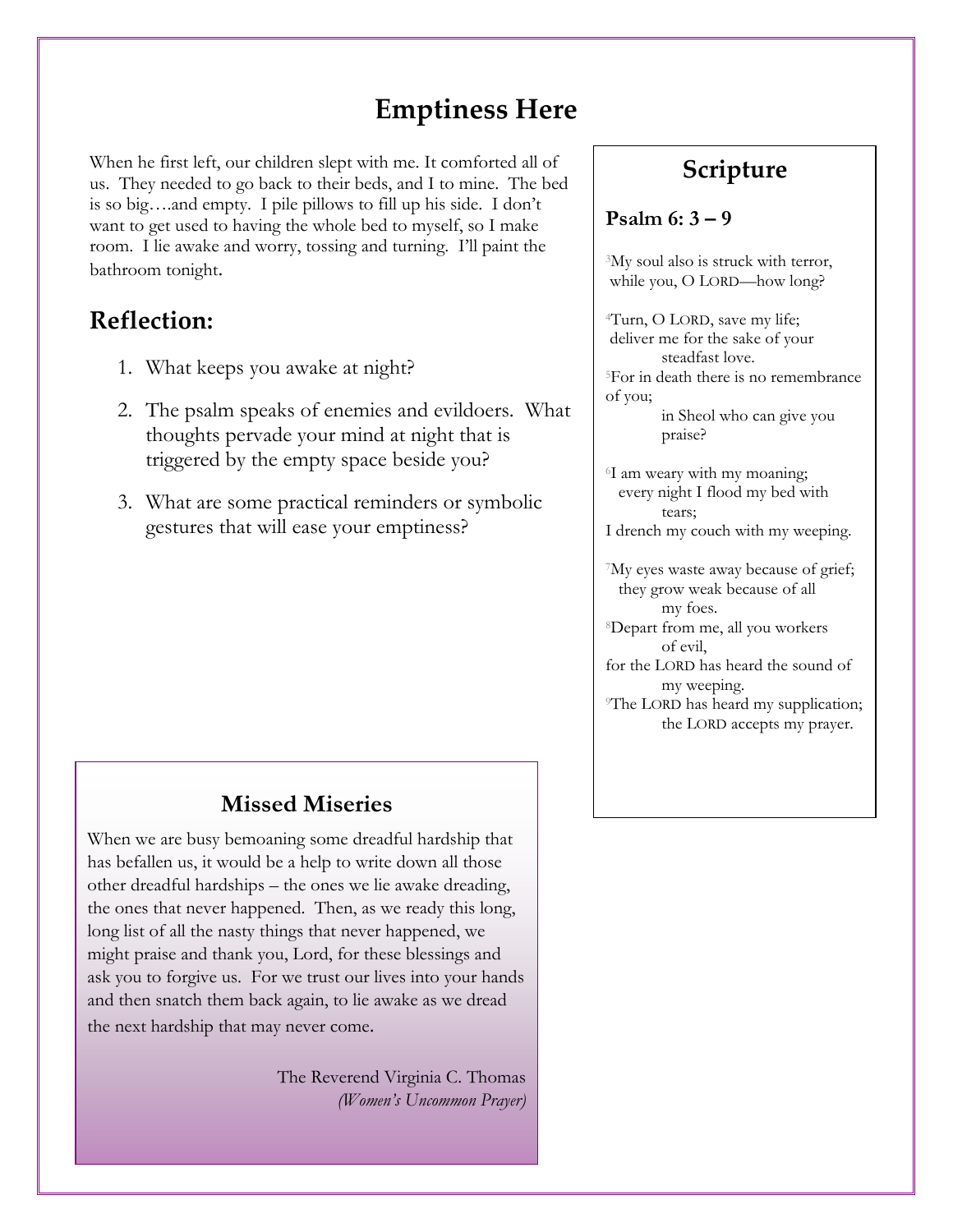## **Emptiness Here**

When he first left, our children slept with me. It comforted all of us. They needed to go back to their beds, and I to mine. The bed is so big….and empty. I pile pillows to fill up his side. I don't want to get used to having the whole bed to myself, so I make room. I lie awake and worry, tossing and turning. I'll paint the bathroom tonight.

## **Reflection:**

- 1. What keeps you awake at night?
- 2. The psalm speaks of enemies and evildoers. What thoughts pervade your mind at night that is triggered by the empty space beside you?
- 3. What are some practical reminders or symbolic gestures that will ease your emptiness?

#### **Missed Miseries**

When we are busy bemoaning some dreadful hardship that has befallen us, it would be a help to write down all those other dreadful hardships – the ones we lie awake dreading, the ones that never happened. Then, as we ready this long, long list of all the nasty things that never happened, we might praise and thank you, Lord, for these blessings and ask you to forgive us. For we trust our lives into your hands and then snatch them back again, to lie awake as we dread the next hardship that may never come.

> The Reverend Virginia C. Thomas  *(Women's Uncommon Prayer)*

## **Scripture**

#### **Psalm 6: 3 – 9**

<sup>3</sup>My soul also is struck with terror, while you, O LORD—how long?

4Turn, O LORD, save my life; deliver me for the sake of your steadfast love. 5For in death there is no remembrance of you;

> in Sheol who can give you praise?

6I am weary with my moaning; every night I flood my bed with tears;

I drench my couch with my weeping.

7My eyes waste away because of grief; they grow weak because of all my foes.

8Depart from me, all you workers of evil,

for the LORD has heard the sound of my weeping.

<sup>9</sup>The LORD has heard my supplication; the LORD accepts my prayer.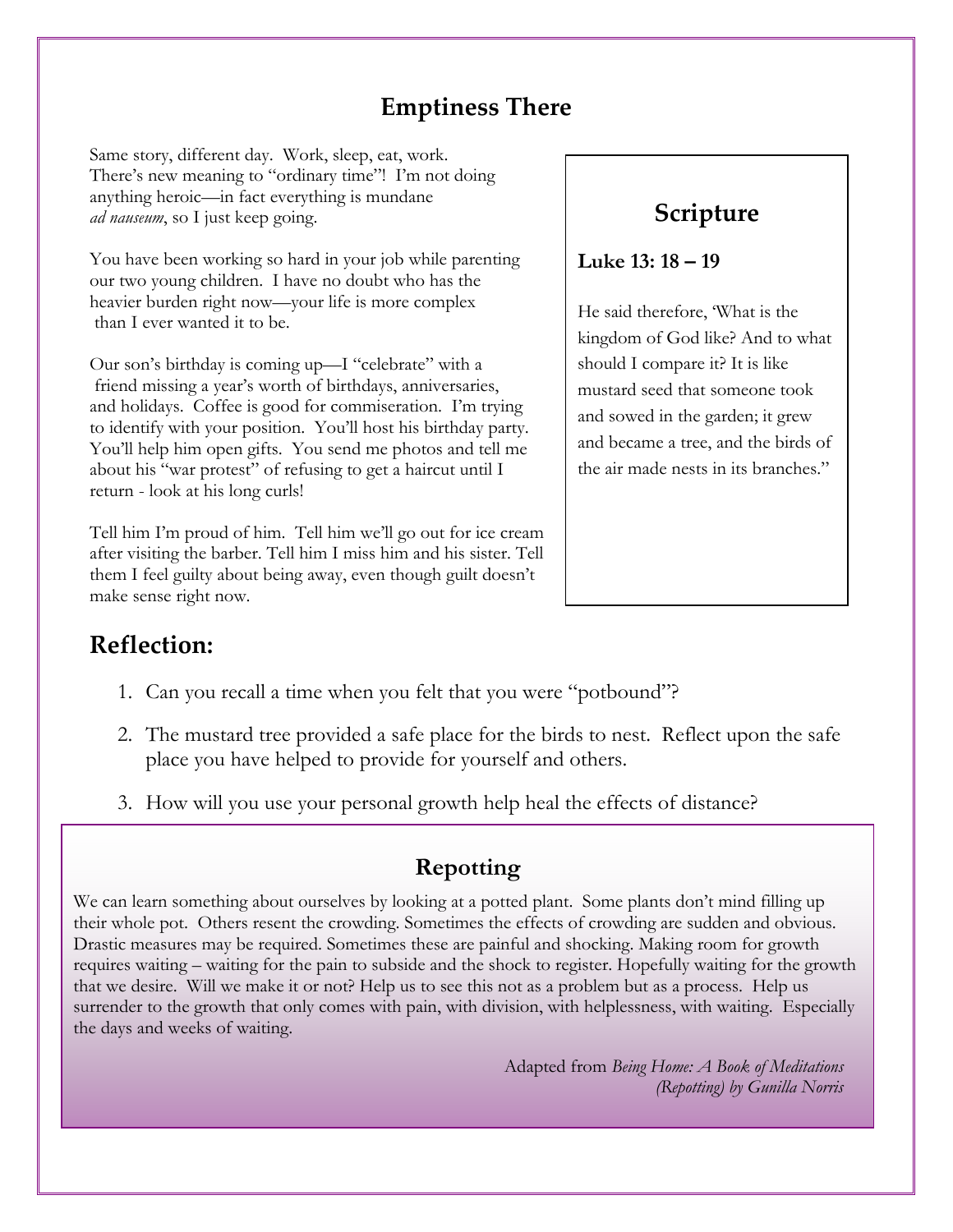## **Emptiness There**

Same story, different day. Work, sleep, eat, work. There's new meaning to "ordinary time"! I'm not doing anything heroic—in fact everything is mundane *ad nauseum*, so I just keep going.

You have been working so hard in your job while parenting our two young children. I have no doubt who has the heavier burden right now—your life is more complex than I ever wanted it to be.

Our son's birthday is coming up—I "celebrate" with a friend missing a year's worth of birthdays, anniversaries, and holidays. Coffee is good for commiseration. I'm trying to identify with your position. You'll host his birthday party. You'll help him open gifts. You send me photos and tell me about his "war protest" of refusing to get a haircut until I return - look at his long curls!

Tell him I'm proud of him. Tell him we'll go out for ice cream after visiting the barber. Tell him I miss him and his sister. Tell them I feel guilty about being away, even though guilt doesn't make sense right now.

## **Scripture**

**Luke 13: 18 – 19** 

He said therefore, 'What is the kingdom of God like? And to what should I compare it? It is like mustard seed that someone took and sowed in the garden; it grew and became a tree, and the birds of the air made nests in its branches."

## **Reflection:**

- 1. Can you recall a time when you felt that you were "potbound"?
- 2. The mustard tree provided a safe place for the birds to nest. Reflect upon the safe place you have helped to provide for yourself and others.
- 3. How will you use your personal growth help heal the effects of distance?

## **Repotting**

We can learn something about ourselves by looking at a potted plant. Some plants don't mind filling up their whole pot. Others resent the crowding. Sometimes the effects of crowding are sudden and obvious. Drastic measures may be required. Sometimes these are painful and shocking. Making room for growth requires waiting – waiting for the pain to subside and the shock to register. Hopefully waiting for the growth that we desire. Will we make it or not? Help us to see this not as a problem but as a process. Help us surrender to the growth that only comes with pain, with division, with helplessness, with waiting. Especially the days and weeks of waiting.

> Adapted from *Being Home: A Book of Meditations (Repotting) by Gunilla Norris*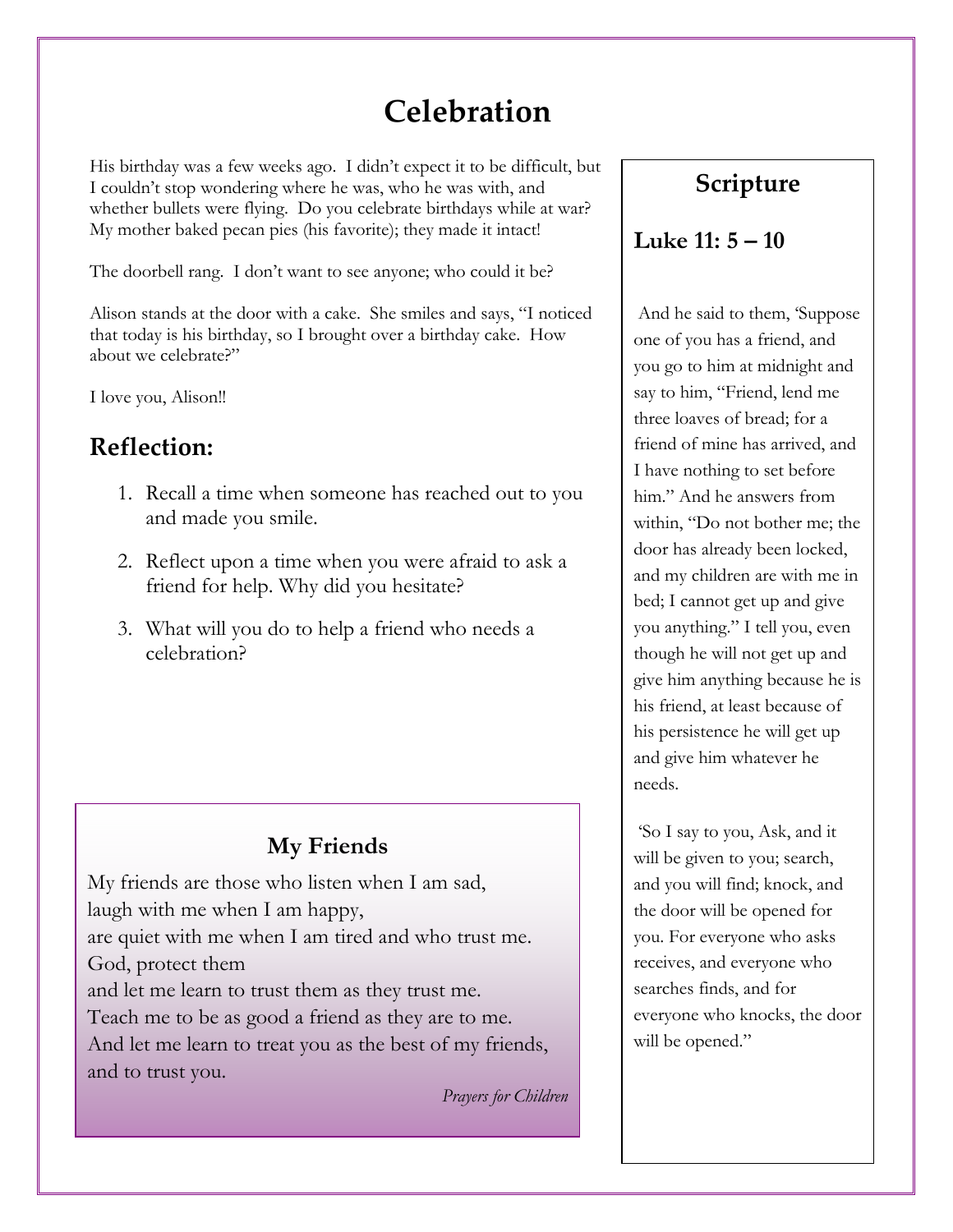# **Celebration**

His birthday was a few weeks ago. I didn't expect it to be difficult, but I couldn't stop wondering where he was, who he was with, and whether bullets were flying. Do you celebrate birthdays while at war? My mother baked pecan pies (his favorite); they made it intact!

The doorbell rang. I don't want to see anyone; who could it be?

Alison stands at the door with a cake. She smiles and says, "I noticed that today is his birthday, so I brought over a birthday cake. How about we celebrate?"

I love you, Alison!!

## **Reflection:**

- 1. Recall a time when someone has reached out to you and made you smile.
- 2. Reflect upon a time when you were afraid to ask a friend for help. Why did you hesitate?
- 3. What will you do to help a friend who needs a celebration?

#### **My Friends**

My friends are those who listen when I am sad, laugh with me when I am happy, are quiet with me when I am tired and who trust me.

God, protect them

and let me learn to trust them as they trust me.

Teach me to be as good a friend as they are to me. And let me learn to treat you as the best of my friends, and to trust you.

*Prayers for Children* 

## **Scripture**

#### **Luke 11: 5 – 10**

 And he said to them, 'Suppose one of you has a friend, and you go to him at midnight and say to him, "Friend, lend me three loaves of bread; for a friend of mine has arrived, and I have nothing to set before him." And he answers from within, "Do not bother me; the door has already been locked, and my children are with me in bed; I cannot get up and give you anything." I tell you, even though he will not get up and give him anything because he is his friend, at least because of his persistence he will get up and give him whatever he needs.

 'So I say to you, Ask, and it will be given to you; search, and you will find; knock, and the door will be opened for you. For everyone who asks receives, and everyone who searches finds, and for everyone who knocks, the door will be opened."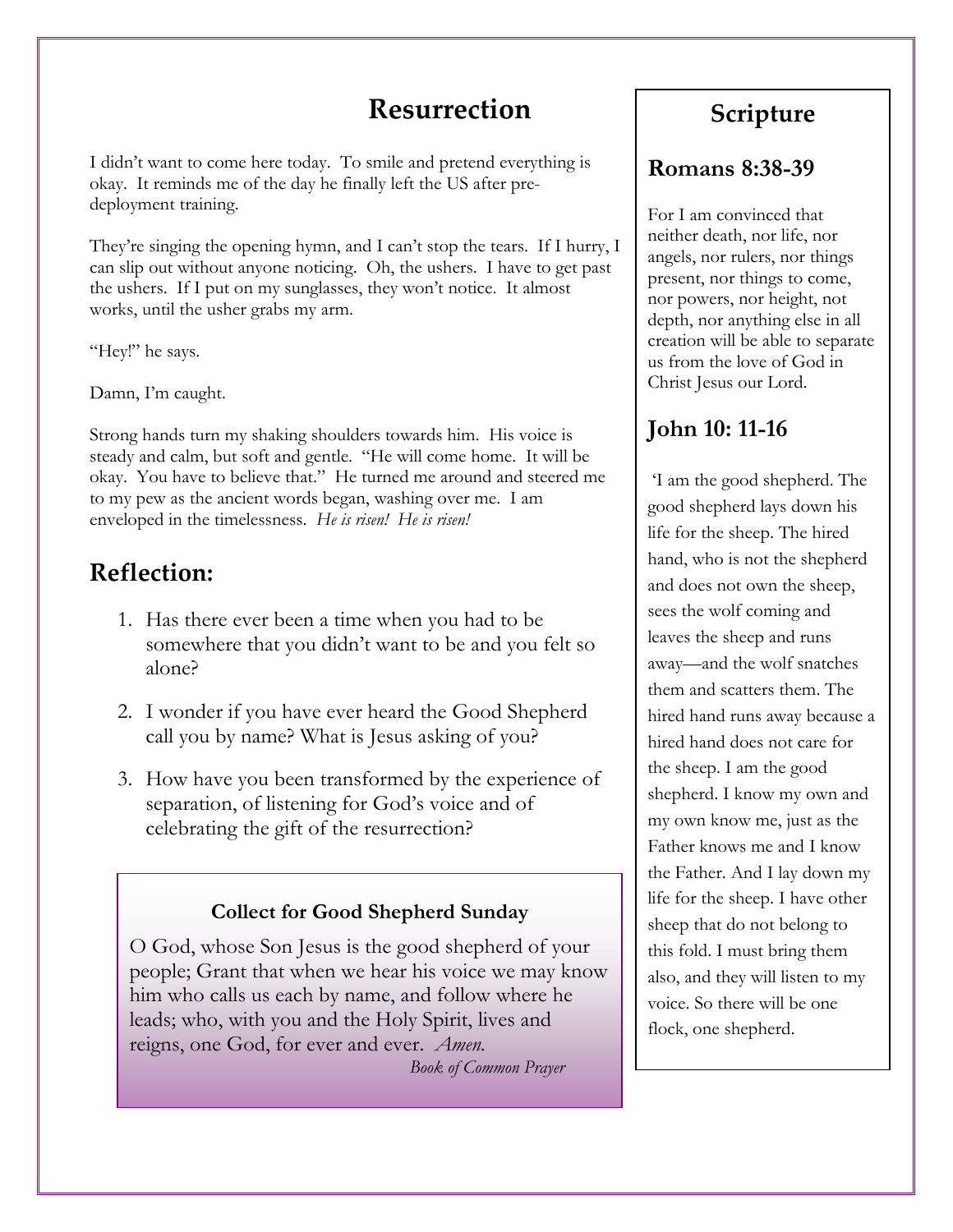## **Resurrection**

I didn't want to come here today. To smile and pretend everything is okay. It reminds me of the day he finally left the US after predeployment training.

They're singing the opening hymn, and I can't stop the tears. If I hurry, I can slip out without anyone noticing. Oh, the ushers. I have to get past the ushers. If I put on my sunglasses, they won't notice. It almost works, until the usher grabs my arm.

"Hey!" he says.

Damn, I'm caught.

Strong hands turn my shaking shoulders towards him. His voice is steady and calm, but soft and gentle. "He will come home. It will be okay. You have to believe that." He turned me around and steered me to my pew as the ancient words began, washing over me. I am enveloped in the timelessness. *He is risen! He is risen!*

## **Reflection:**

- 1. Has there ever been a time when you had to be somewhere that you didn't want to be and you felt so alone?
- 2. I wonder if you have ever heard the Good Shepherd call you by name? What is Jesus asking of you?
- 3. How have you been transformed by the experience of separation, of listening for God's voice and of celebrating the gift of the resurrection?

#### **Collect for Good Shepherd Sunday**

O God, whose Son Jesus is the good shepherd of your people; Grant that when we hear his voice we may know him who calls us each by name, and follow where he leads; who, with you and the Holy Spirit, lives and reigns, one God, for ever and ever. *Amen.* 

 *Book of Common Prayer* 

## **Scripture**

#### **Romans 8:38-39**

For I am convinced that neither death, nor life, nor angels, nor rulers, nor things present, nor things to come, nor powers, nor height, not depth, nor anything else in all creation will be able to separate us from the love of God in Christ Jesus our Lord.

## **John 10: 11-16**

 'I am the good shepherd. The good shepherd lays down his life for the sheep. The hired hand, who is not the shepherd and does not own the sheep, sees the wolf coming and leaves the sheep and runs away—and the wolf snatches them and scatters them. The hired hand runs away because a hired hand does not care for the sheep. I am the good shepherd. I know my own and my own know me, just as the Father knows me and I know the Father. And I lay down my life for the sheep. I have other sheep that do not belong to this fold. I must bring them also, and they will listen to my voice. So there will be one flock, one shepherd.